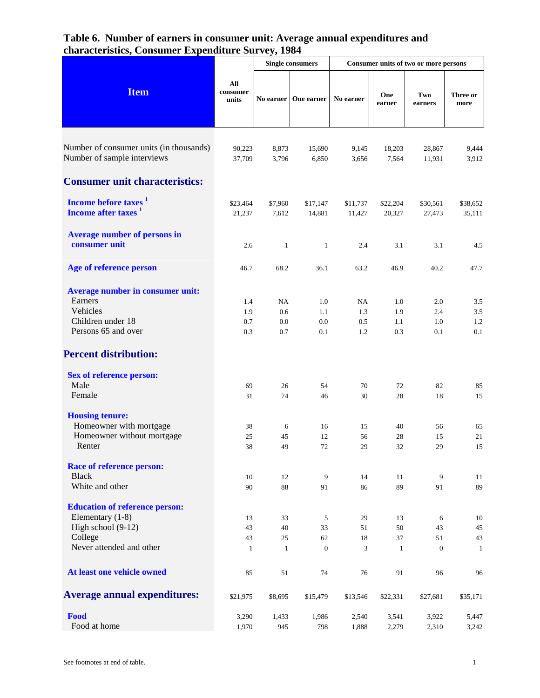|                                                                     |                          | <b>Single consumers</b> |                        | Consumer units of two or more persons |                    |                    |                    |
|---------------------------------------------------------------------|--------------------------|-------------------------|------------------------|---------------------------------------|--------------------|--------------------|--------------------|
| <b>Item</b>                                                         | All<br>consumer<br>units |                         | No earner   One earner | No earner                             | One<br>earner      | Two<br>earners     | Three or<br>more   |
| Number of consumer units (in thousands)                             | 90,223                   | 8,873                   | 15,690                 | 9,145                                 | 18,203             | 28,867             | 9,444              |
| Number of sample interviews                                         | 37,709                   | 3,796                   | 6,850                  | 3,656                                 | 7,564              | 11,931             | 3,912              |
| <b>Consumer unit characteristics:</b>                               |                          |                         |                        |                                       |                    |                    |                    |
| Income before taxes <sup>1</sup><br>Income after taxes <sup>1</sup> | \$23,464<br>21,237       | \$7,960<br>7,612        | \$17,147<br>14,881     | \$11,737<br>11,427                    | \$22,204<br>20,327 | \$30,561<br>27,473 | \$38,652<br>35,111 |
| <b>Average number of persons in</b><br>consumer unit                | 2.6                      | $\mathbf{1}$            | $\mathbf{1}$           | 2.4                                   | 3.1                | 3.1                | 4.5                |
| Age of reference person                                             | 46.7                     | 68.2                    | 36.1                   | 63.2                                  | 46.9               | 40.2               | 47.7               |
| Average number in consumer unit:                                    |                          |                         |                        |                                       |                    |                    |                    |
| Earners                                                             | 1.4                      | NA                      | 1.0                    | NA                                    | 1.0                | 2.0                | 3.5                |
| Vehicles                                                            | 1.9                      | 0.6                     | 1.1                    | 1.3                                   | 1.9                | 2.4                | 3.5                |
| Children under 18                                                   | 0.7                      | 0.0                     | 0.0                    | 0.5                                   | 1.1                | 1.0                | 1.2                |
| Persons 65 and over                                                 | 0.3                      | 0.7                     | 0.1                    | 1.2                                   | 0.3                | 0.1                | 0.1                |
| <b>Percent distribution:</b>                                        |                          |                         |                        |                                       |                    |                    |                    |
| <b>Sex of reference person:</b><br>Male                             |                          |                         |                        |                                       |                    |                    |                    |
| Female                                                              | 69<br>31                 | 26<br>74                | 54<br>46               | 70<br>30                              | 72<br>28           | 82<br>18           | 85<br>15           |
|                                                                     |                          |                         |                        |                                       |                    |                    |                    |
| <b>Housing tenure:</b>                                              |                          |                         |                        |                                       |                    |                    |                    |
| Homeowner with mortgage                                             | 38                       | 6                       | 16                     | 15                                    | 40                 | 56                 | 65                 |
| Homeowner without mortgage                                          | 25                       | 45                      | 12                     | 56                                    | 28                 | 15                 | 21                 |
| Renter                                                              | 38                       | 49                      | 72                     | 29                                    | 32                 | 29                 | 15                 |
| <b>Race of reference person:</b>                                    |                          |                         |                        |                                       |                    |                    |                    |
| <b>Black</b><br>White and other                                     | 10<br>90                 | 12<br>$88\,$            | 9<br>91                | 14<br>86                              | 11<br>89           | 9<br>91            | 11<br>89           |
| <b>Education of reference person:</b>                               |                          |                         |                        |                                       |                    |                    |                    |
| Elementary (1-8)                                                    | 13                       | 33                      | 5                      | 29                                    | 13                 | 6                  | 10                 |
| High school (9-12)                                                  | 43                       | 40                      | 33                     | 51                                    | 50                 | 43                 | 45                 |
| College                                                             | 43                       | 25                      | 62                     | 18                                    | 37                 | 51                 | 43                 |
| Never attended and other                                            | $\mathbf{1}$             | $\mathbf{1}$            | $\overline{0}$         | 3                                     | $\mathbf{1}$       | $\boldsymbol{0}$   | 1                  |
| At least one vehicle owned                                          | 85                       | 51                      | 74                     | 76                                    | 91                 | 96                 | 96                 |
| <b>Average annual expenditures:</b>                                 | \$21,975                 | \$8,695                 | \$15,479               | \$13,546                              | \$22,331           | \$27,681           | \$35,171           |
| Food                                                                | 3,290                    | 1,433                   | 1,986                  | 2,540                                 | 3,541              | 3,922              | 5,447              |
| Food at home                                                        | 1,970                    | 945                     | 798                    | 1,888                                 | 2,279              | 2,310              | 3,242              |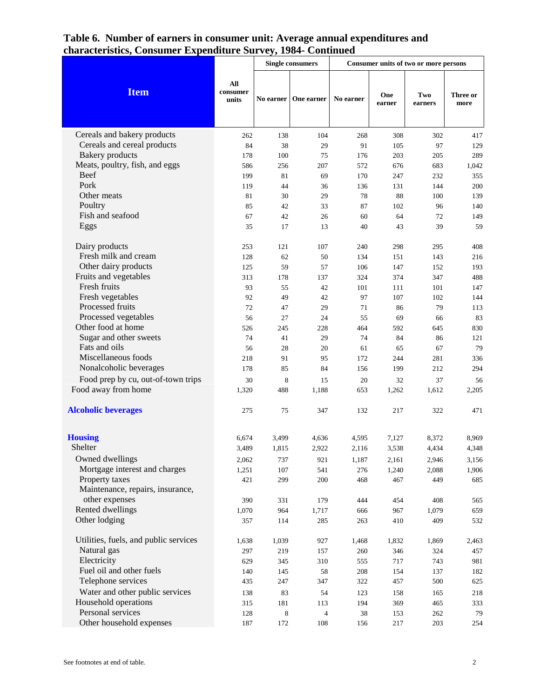|                                              |                          | <b>Single consumers</b> |                | Consumer units of two or more persons |               |                |                  |
|----------------------------------------------|--------------------------|-------------------------|----------------|---------------------------------------|---------------|----------------|------------------|
| <b>Item</b>                                  | All<br>consumer<br>units | No earner               | One earner     | No earner                             | One<br>earner | Two<br>earners | Three or<br>more |
| Cereals and bakery products                  | 262                      | 138                     | 104            | 268                                   | 308           | 302            | 417              |
| Cereals and cereal products                  | 84                       | 38                      | 29             | 91                                    | 105           | 97             | 129              |
| <b>Bakery</b> products                       | 178                      | 100                     | 75             | 176                                   | 203           | 205            | 289              |
| Meats, poultry, fish, and eggs               | 586                      | 256                     | 207            | 572                                   | 676           | 683            | 1,042            |
| Beef                                         | 199                      | 81                      | 69             | 170                                   | 247           | 232            | 355              |
| Pork                                         | 119                      | 44                      | 36             | 136                                   | 131           | 144            | 200              |
| Other meats                                  | 81                       | 30                      | 29             | 78                                    | 88            | 100            | 139              |
| Poultry                                      | 85                       | 42                      | 33             | 87                                    | 102           | 96             | 140              |
| Fish and seafood                             | 67                       | 42                      | 26             | 60                                    | 64            | 72             | 149              |
| Eggs                                         | 35                       | 17                      | 13             | 40                                    | 43            | 39             | 59               |
| Dairy products                               | 253                      | 121                     | 107            | 240                                   | 298           | 295            | 408              |
| Fresh milk and cream                         | 128                      | 62                      | 50             | 134                                   | 151           | 143            | 216              |
| Other dairy products                         | 125                      | 59                      | 57             | 106                                   | 147           | 152            | 193              |
| Fruits and vegetables                        | 313                      | 178                     | 137            | 324                                   | 374           | 347            | 488              |
| Fresh fruits                                 | 93                       | 55                      | 42             | 101                                   | 111           | 101            | 147              |
| Fresh vegetables                             | 92                       | 49                      | 42             | 97                                    | 107           | 102            | 144              |
| Processed fruits                             | 72                       | 47                      | 29             | 71                                    | 86            | 79             | 113              |
| Processed vegetables                         | 56                       | 27                      | 24             | 55                                    | 69            | 66             | 83               |
| Other food at home<br>Sugar and other sweets | 526                      | 245                     | 228            | 464<br>74                             | 592           | 645            | 830              |
| Fats and oils                                | 74                       | 41                      | 29             | 61                                    | 84            | 86             | 121<br>79        |
| Miscellaneous foods                          | 56<br>218                | 28<br>91                | 20<br>95       | 172                                   | 65<br>244     | 67<br>281      | 336              |
| Nonalcoholic beverages                       | 178                      | 85                      | 84             | 156                                   | 199           | 212            | 294              |
| Food prep by cu, out-of-town trips           | 30                       |                         |                | 20                                    |               |                |                  |
| Food away from home                          | 1,320                    | 8<br>488                | 15<br>1,188    | 653                                   | 32<br>1,262   | 37<br>1,612    | 56<br>2,205      |
|                                              |                          |                         |                |                                       |               |                |                  |
| <b>Alcoholic beverages</b>                   | 275                      | 75                      | 347            | 132                                   | 217           | 322            | 471              |
| <b>Housing</b>                               | 6,674                    | 3,499                   | 4,636          | 4,595                                 | 7,127         | 8,372          | 8,969            |
| Shelter                                      | 3,489                    | 1,815                   | 2,922          | 2,116                                 | 3,538         | 4,434          | 4,348            |
| Owned dwellings                              | 2,062                    | 737                     | 921            | 1,187                                 | 2,161         | 2,946          | 3,156            |
| Mortgage interest and charges                | 1,251                    | 107                     | 541            | 276                                   | 1,240         | 2,088          | 1,906            |
| Property taxes                               | 421                      | 299                     | 200            | 468                                   | 467           | 449            | 685              |
| Maintenance, repairs, insurance,             |                          |                         |                |                                       |               |                |                  |
| other expenses                               | 390                      | 331                     | 179            | 444                                   | 454           | 408            | 565              |
| Rented dwellings                             | 1,070                    | 964                     | 1,717          | 666                                   | 967           | 1,079          | 659              |
| Other lodging                                | 357                      | 114                     | 285            | 263                                   | 410           | 409            | 532              |
| Utilities, fuels, and public services        | 1,638                    | 1,039                   | 927            | 1,468                                 | 1,832         | 1,869          | 2,463            |
| Natural gas                                  | 297                      | 219                     | 157            | 260                                   | 346           | 324            | 457              |
| Electricity                                  | 629                      | 345                     | 310            | 555                                   | 717           | 743            | 981              |
| Fuel oil and other fuels                     | 140                      | 145                     | 58             | 208                                   | 154           | 137            | 182              |
| Telephone services                           | 435                      | 247                     | 347            | 322                                   | 457           | 500            | 625              |
| Water and other public services              | 138                      | 83                      | 54             | 123                                   | 158           | 165            | 218              |
| Household operations                         | 315                      | 181                     | 113            | 194                                   | 369           | 465            | 333              |
| Personal services                            | 128                      | 8                       | $\overline{4}$ | 38                                    | 153           | 262            | 79               |
| Other household expenses                     | 187                      | 172                     | 108            | 156                                   | $217\,$       | 203            | 254              |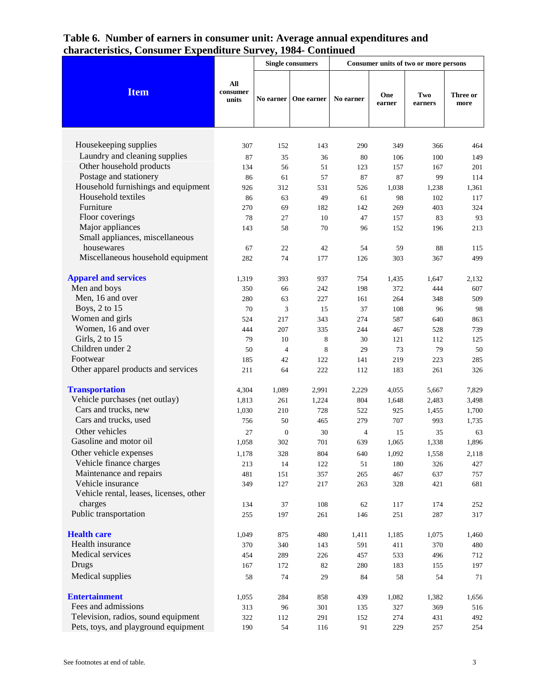|                                         |                          | <b>Single consumers</b> |                        | Consumer units of two or more persons |               |                |                  |
|-----------------------------------------|--------------------------|-------------------------|------------------------|---------------------------------------|---------------|----------------|------------------|
| <b>Item</b>                             | All<br>consumer<br>units |                         | No earner   One earner | No earner                             | One<br>earner | Two<br>earners | Three or<br>more |
|                                         |                          |                         |                        |                                       |               |                |                  |
| Housekeeping supplies                   | 307                      | 152                     | 143                    | 290                                   | 349           | 366            | 464              |
| Laundry and cleaning supplies           | 87                       | 35                      | 36                     | 80                                    | 106           | 100            | 149              |
| Other household products                | 134                      | 56                      | 51                     | 123                                   | 157           | 167            | 201              |
| Postage and stationery                  | 86                       | 61                      | 57                     | 87                                    | 87            | 99             | 114              |
| Household furnishings and equipment     | 926                      | 312                     | 531                    | 526                                   | 1,038         | 1,238          | 1,361            |
| Household textiles                      | 86                       | 63                      | 49                     | 61                                    | 98            | 102            | 117              |
| Furniture                               | 270                      | 69                      | 182                    | 142                                   | 269           | 403            | 324              |
| Floor coverings                         | 78                       | 27                      | 10                     | 47                                    | 157           | 83             | 93               |
| Major appliances                        | 143                      | 58                      | 70                     | 96                                    | 152           | 196            | 213              |
| Small appliances, miscellaneous         |                          |                         |                        |                                       |               |                |                  |
| housewares                              | 67                       | 22                      | 42                     | 54                                    | 59            | 88             | 115              |
| Miscellaneous household equipment       | 282                      | 74                      | 177                    | 126                                   | 303           | 367            | 499              |
| <b>Apparel and services</b>             | 1,319                    | 393                     | 937                    | 754                                   | 1,435         | 1,647          | 2,132            |
| Men and boys                            | 350                      | 66                      | 242                    | 198                                   | 372           | 444            | 607              |
| Men, 16 and over                        | 280                      | 63                      | 227                    | 161                                   | 264           | 348            | 509              |
| Boys, 2 to 15                           | 70                       | 3                       | 15                     | 37                                    | 108           | 96             | 98               |
| Women and girls                         | 524                      | 217                     | 343                    | 274                                   | 587           | 640            | 863              |
| Women, 16 and over                      | 444                      | 207                     | 335                    | 244                                   | 467           | 528            | 739              |
| Girls, 2 to 15                          | 79                       | 10                      | 8                      | 30                                    | 121           | 112            | 125              |
| Children under 2                        | 50                       | $\overline{4}$          | $\,$ 8 $\,$            | 29                                    | 73            | 79             | 50               |
| Footwear                                | 185                      | 42                      | 122                    | 141                                   | 219           | 223            | 285              |
| Other apparel products and services     | 211                      | 64                      | 222                    | 112                                   | 183           | 261            | 326              |
| <b>Transportation</b>                   | 4,304                    | 1,089                   | 2,991                  | 2,229                                 | 4,055         | 5,667          | 7,829            |
| Vehicle purchases (net outlay)          | 1,813                    | 261                     | 1,224                  | 804                                   | 1,648         | 2,483          | 3,498            |
| Cars and trucks, new                    | 1,030                    | 210                     | 728                    | 522                                   | 925           | 1,455          | 1,700            |
| Cars and trucks, used                   | 756                      | 50                      | 465                    | 279                                   | 707           | 993            | 1,735            |
| Other vehicles                          | 27                       | $\mathbf{0}$            | 30                     | $\overline{4}$                        | 15            | 35             | 63               |
| Gasoline and motor oil                  | 1.058                    | 302                     | 701                    | 639                                   | 1,065         | 1,338          | 1,896            |
| Other vehicle expenses                  | 1,178                    | 328                     | $804\,$                | 640                                   | 1,092         | 1,558          | 2,118            |
| Vehicle finance charges                 | 213                      | 14                      | 122                    | 51                                    | 180           | 326            | 427              |
| Maintenance and repairs                 | 481                      | 151                     | 357                    | 265                                   | 467           | 637            | 757              |
| Vehicle insurance                       | 349                      | 127                     | 217                    | 263                                   | 328           | 421            | 681              |
| Vehicle rental, leases, licenses, other |                          |                         |                        |                                       |               |                |                  |
| charges                                 | 134                      | 37                      | 108                    | 62                                    | 117           | 174            | 252              |
| Public transportation                   | 255                      | 197                     | 261                    | 146                                   | 251           | 287            | 317              |
| <b>Health care</b>                      | 1,049                    | 875                     | 480                    | 1,411                                 | 1,185         | 1,075          | 1,460            |
| Health insurance                        | 370                      | 340                     | 143                    | 591                                   | 411           | 370            | 480              |
| Medical services                        | 454                      | 289                     | 226                    | 457                                   | 533           | 496            | 712              |
| Drugs                                   | 167                      | 172                     | 82                     | 280                                   | 183           | 155            | 197              |
| Medical supplies                        | 58                       | 74                      | 29                     | 84                                    | 58            | 54             | 71               |
| <b>Entertainment</b>                    | 1,055                    | 284                     | 858                    | 439                                   | 1,082         | 1,382          | 1,656            |
| Fees and admissions                     | 313                      | 96                      | 301                    | 135                                   | 327           | 369            | 516              |
| Television, radios, sound equipment     | 322                      | 112                     | 291                    | 152                                   | 274           | 431            | 492              |
| Pets, toys, and playground equipment    | 190                      | 54                      | 116                    | 91                                    | 229           | 257            | 254              |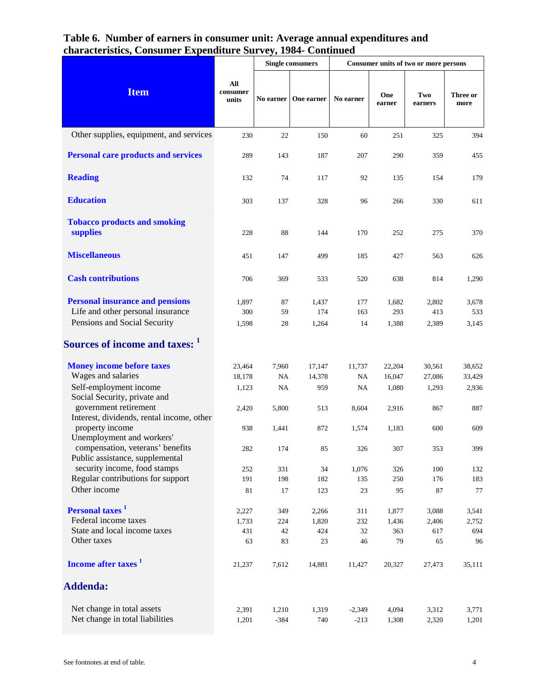|                                                                     |                          | <b>Single consumers</b> |            | Consumer units of two or more persons |               |                |                  |
|---------------------------------------------------------------------|--------------------------|-------------------------|------------|---------------------------------------|---------------|----------------|------------------|
| <b>Item</b>                                                         | All<br>consumer<br>units | No earner               | One earner | No earner                             | One<br>earner | Two<br>earners | Three or<br>more |
| Other supplies, equipment, and services                             | 230                      | 22                      | 150        | 60                                    | 251           | 325            | 394              |
| <b>Personal care products and services</b>                          | 289                      | 143                     | 187        | 207                                   | 290           | 359            | 455              |
| <b>Reading</b>                                                      | 132                      | 74                      | 117        | 92                                    | 135           | 154            | 179              |
| <b>Education</b>                                                    | 303                      | 137                     | 328        | 96                                    | 266           | 330            | 611              |
| <b>Tobacco products and smoking</b><br>supplies                     | 228                      | 88                      | 144        | 170                                   | 252           | 275            | 370              |
| <b>Miscellaneous</b>                                                | 451                      | 147                     | 499        | 185                                   | 427           | 563            | 626              |
| <b>Cash contributions</b>                                           | 706                      | 369                     | 533        | 520                                   | 638           | 814            | 1,290            |
| <b>Personal insurance and pensions</b>                              | 1,897                    | 87                      | 1,437      | 177                                   | 1,682         | 2,802          | 3,678            |
| Life and other personal insurance                                   | 300                      | 59                      | 174        | 163                                   | 293           | 413            | 533              |
| Pensions and Social Security                                        | 1,598                    | 28                      | 1,264      | 14                                    | 1,388         | 2,389          | 3,145            |
| Sources of income and taxes: 1                                      |                          |                         |            |                                       |               |                |                  |
| <b>Money income before taxes</b>                                    | 23,464                   | 7,960                   | 17,147     | 11,737                                | 22,204        | 30,561         | 38,652           |
| Wages and salaries                                                  | 18,178                   | NA                      | 14,378     | NA                                    | 16,047        | 27,086         | 33,429           |
| Self-employment income<br>Social Security, private and              | 1,123                    | <b>NA</b>               | 959        | NA.                                   | 1,080         | 1,293          | 2,936            |
| government retirement<br>Interest, dividends, rental income, other  | 2,420                    | 5,800                   | 513        | 8,604                                 | 2,916         | 867            | 887              |
| property income<br>Unemployment and workers'                        | 938                      | 1,441                   | 872        | 1,574                                 | 1,183         | 600            | 609              |
| compensation, veterans' benefits<br>Public assistance, supplemental | 282                      | 174                     | 85         | 326                                   | 307           | 353            | 399              |
| security income, food stamps                                        | 252                      | 331                     | 34         | 1,076                                 | 326           | 100            | 132              |
| Regular contributions for support                                   | 191                      | 198                     | 182        | 135                                   | 250           | 176            | 183              |
| Other income                                                        | 81                       | 17                      | 123        | 23                                    | 95            | 87             | 77               |
| Personal taxes <sup>1</sup>                                         | 2,227                    | 349                     | 2,266      | 311                                   | 1,877         | 3,088          | 3,541            |
| Federal income taxes                                                | 1,733                    | 224                     | 1,820      | 232                                   | 1,436         | 2,406          | 2,752            |
| State and local income taxes                                        | 431                      | 42                      | 424        | 32                                    | 363           | 617            | 694              |
| Other taxes                                                         | 63                       | 83                      | 23         | 46                                    | 79            | 65             | 96               |
| Income after taxes <sup>1</sup>                                     | 21,237                   | 7,612                   | 14,881     | 11,427                                | 20,327        | 27,473         | 35,111           |
| <b>Addenda:</b>                                                     |                          |                         |            |                                       |               |                |                  |
| Net change in total assets                                          | 2,391                    | 1,210                   | 1,319      | $-2,349$                              | 4,094         | 3,312          | 3,771            |
| Net change in total liabilities                                     | 1,201                    | $-384$                  | 740        | $-213$                                | 1,308         | 2,320          | 1,201            |